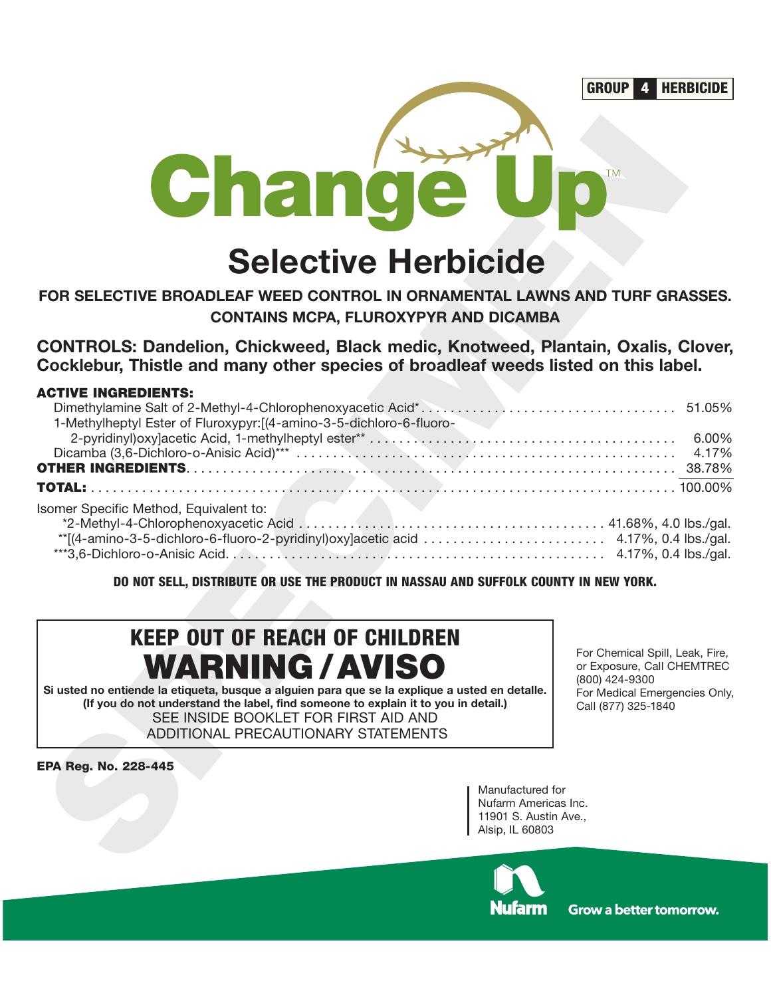

### **FOR SELECTIVE BROADLEAF WEED CONTROL IN ORNAMENTAL LAWNS AND TURF GRASSES. CONTAINS MCPA, FLUROXYPYR AND DICAMBA**

#### **ACTIVE INGREDIENTS:**

| Change                                                                                                                                                                                                                                                                                                                                |                                                                                                                                         |
|---------------------------------------------------------------------------------------------------------------------------------------------------------------------------------------------------------------------------------------------------------------------------------------------------------------------------------------|-----------------------------------------------------------------------------------------------------------------------------------------|
| <b>Selective Herbicide</b>                                                                                                                                                                                                                                                                                                            |                                                                                                                                         |
| FOR SELECTIVE BROADLEAF WEED CONTROL IN ORNAMENTAL LAWNS AND TURF GRASSES.<br><b>CONTAINS MCPA, FLUROXYPYR AND DICAMBA</b>                                                                                                                                                                                                            |                                                                                                                                         |
| <b>CONTROLS: Dandelion, Chickweed, Black medic, Knotweed, Plantain, Oxalis, Clover,</b><br>Cocklebur, Thistle and many other species of broadleaf weeds listed on this label.                                                                                                                                                         |                                                                                                                                         |
| <b>ACTIVE INGREDIENTS:</b><br>1-Methylheptyl Ester of Fluroxypyr: [(4-amino-3-5-dichloro-6-fluoro-<br><b>TOTAL:</b><br>Isomer Specific Method, Equivalent to:                                                                                                                                                                         | 6.00%<br>4.17%                                                                                                                          |
| **[(4-amino-3-5-dichloro-6-fluoro-2-pyridinyl)oxy]acetic acid  4.17%, 0.4 lbs./gal.<br>DO NOT SELL, DISTRIBUTE OR USE THE PRODUCT IN NASSAU AND SUFFOLK COUNTY IN NEW YORK.                                                                                                                                                           |                                                                                                                                         |
| <b>KEEP OUT OF REACH OF CHILDREN</b><br><b>WARNING / AVISO</b><br>Si usted no entiende la etiqueta, busque a alguien para que se la explique a usted en detalle.<br>(If you do not understand the label, find someone to explain it to you in detail.)<br>SEE INSIDE BOOKLET FOR FIRST AID AND<br>ADDITIONAL PRECAUTIONARY STATEMENTS | For Chemical Spill, Leak, Fire,<br>or Exposure, Call CHEMTREC<br>(800) 424-9300<br>For Medical Emergencies Only,<br>Call (877) 325-1840 |
| <b>EPA Reg. No. 228-445</b><br>Manufactured for<br>Nufarm Americas Inc.<br>11901 S. Austin Ave.,<br>Alsip, IL 60803                                                                                                                                                                                                                   |                                                                                                                                         |

# **KEEP OUT OF REACH OF CHILDREN WARNING /AVISO**

lufarm

Grow a better tomorrow.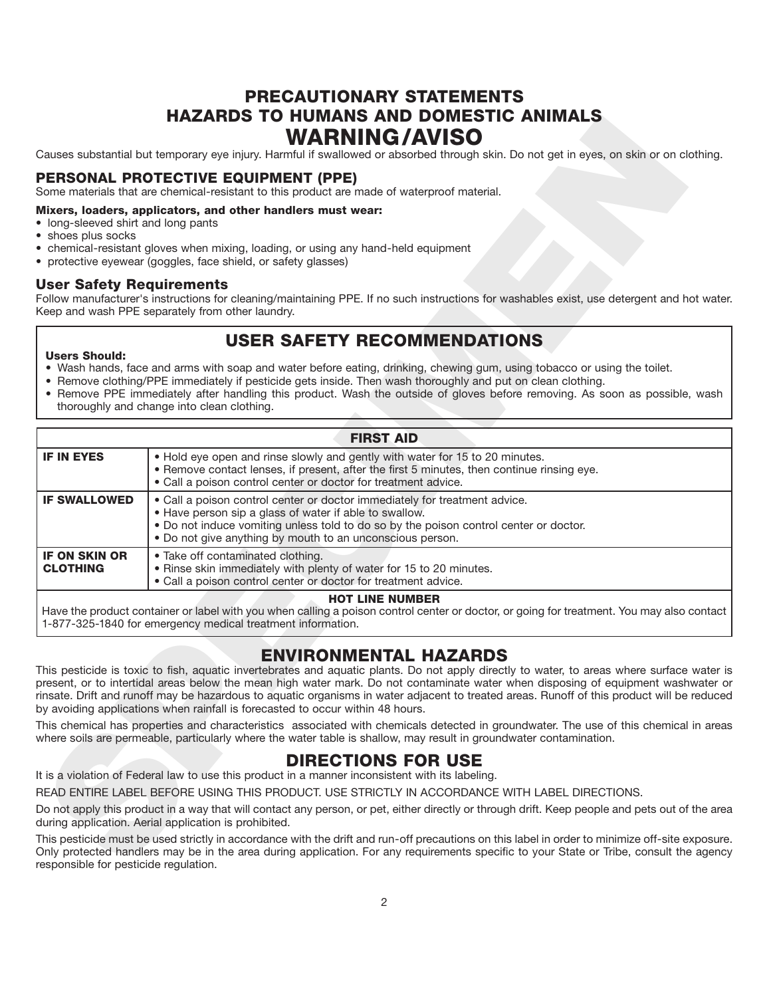### **PRECAUTIONARY STATEMENTS HAZARDS TO HUMANS AND DOMESTIC ANIMALS WARNING/AVISO**

#### **PERSONAL PROTECTIVE EQUIPMENT (PPE)**

#### **Mixers, loaders, applicators, and other handlers must wear:**

- long-sleeved shirt and long pants
- shoes plus socks
- chemical-resistant gloves when mixing, loading, or using any hand-held equipment
- protective eyewear (goggles, face shield, or safety glasses)

#### **User Safety Requirements**

### **USER SAFETY RECOMMENDATIONS**

#### **Users Should:**

- Wash hands, face and arms with soap and water before eating, drinking, chewing gum, using tobacco or using the toilet.
- Remove clothing/PPE immediately if pesticide gets inside. Then wash thoroughly and put on clean clothing.
- Remove PPE immediately after handling this product. Wash the outside of gloves before removing. As soon as possible, wash thoroughly and change into clean clothing.

|                                                           | HAZARDS TO HUMANS AND DOMESTIC ANIMALS<br><b>WARNING/AVISO</b>                                                                                                                                                                                                                                                                                                                                                                                                                                                                                                                                                                                                                                                                                                                                                 |
|-----------------------------------------------------------|----------------------------------------------------------------------------------------------------------------------------------------------------------------------------------------------------------------------------------------------------------------------------------------------------------------------------------------------------------------------------------------------------------------------------------------------------------------------------------------------------------------------------------------------------------------------------------------------------------------------------------------------------------------------------------------------------------------------------------------------------------------------------------------------------------------|
|                                                           | Causes substantial but temporary eye injury. Harmful if swallowed or absorbed through skin. Do not get in eyes, on skin or on clothing.                                                                                                                                                                                                                                                                                                                                                                                                                                                                                                                                                                                                                                                                        |
|                                                           | PERSONAL PROTECTIVE EQUIPMENT (PPE)<br>Some materials that are chemical-resistant to this product are made of waterproof material.                                                                                                                                                                                                                                                                                                                                                                                                                                                                                                                                                                                                                                                                             |
| • long-sleeved shirt and long pants<br>· shoes plus socks | Mixers, loaders, applicators, and other handlers must wear:<br>• chemical-resistant gloves when mixing, loading, or using any hand-held equipment<br>• protective eyewear (goggles, face shield, or safety glasses)                                                                                                                                                                                                                                                                                                                                                                                                                                                                                                                                                                                            |
| <b>User Safety Requirements</b>                           | Follow manufacturer's instructions for cleaning/maintaining PPE. If no such instructions for washables exist, use detergent and hot water.<br>Keep and wash PPE separately from other laundry.                                                                                                                                                                                                                                                                                                                                                                                                                                                                                                                                                                                                                 |
| <b>Users Should:</b>                                      | <b>USER SAFETY RECOMMENDATIONS</b><br>. Wash hands, face and arms with soap and water before eating, drinking, chewing gum, using tobacco or using the toilet.<br>• Remove clothing/PPE immediately if pesticide gets inside. Then wash thoroughly and put on clean clothing.<br>• Remove PPE immediately after handling this product. Wash the outside of gloves before removing. As soon as possible, wash<br>thoroughly and change into clean clothing.                                                                                                                                                                                                                                                                                                                                                     |
|                                                           | <b>FIRST AID</b>                                                                                                                                                                                                                                                                                                                                                                                                                                                                                                                                                                                                                                                                                                                                                                                               |
| <b>IF IN EYES</b>                                         | . Hold eye open and rinse slowly and gently with water for 15 to 20 minutes.<br>• Remove contact lenses, if present, after the first 5 minutes, then continue rinsing eye.<br>• Call a poison control center or doctor for treatment advice.                                                                                                                                                                                                                                                                                                                                                                                                                                                                                                                                                                   |
| <b>IF SWALLOWED</b>                                       | . Call a poison control center or doctor immediately for treatment advice.<br>. Have person sip a glass of water if able to swallow.<br>. Do not induce vomiting unless told to do so by the poison control center or doctor.<br>. Do not give anything by mouth to an unconscious person.                                                                                                                                                                                                                                                                                                                                                                                                                                                                                                                     |
| <b>IF ON SKIN OR</b><br><b>CLOTHING</b>                   | · Take off contaminated clothing.<br>. Rinse skin immediately with plenty of water for 15 to 20 minutes.<br>• Call a poison control center or doctor for treatment advice.                                                                                                                                                                                                                                                                                                                                                                                                                                                                                                                                                                                                                                     |
|                                                           | <b>HOT LINE NUMBER</b><br>Have the product container or label with you when calling a poison control center or doctor, or going for treatment. You may also contact<br>1-877-325-1840 for emergency medical treatment information.                                                                                                                                                                                                                                                                                                                                                                                                                                                                                                                                                                             |
|                                                           | <b>ENVIRONMENTAL HAZARDS</b><br>This pesticide is toxic to fish, aquatic invertebrates and aquatic plants. Do not apply directly to water, to areas where surface water is<br>present, or to intertidal areas below the mean high water mark. Do not contaminate water when disposing of equipment washwater or<br>rinsate. Drift and runoff may be hazardous to aquatic organisms in water adjacent to treated areas. Runoff of this product will be reduced<br>by avoiding applications when rainfall is forecasted to occur within 48 hours.<br>This chemical has properties and characteristics associated with chemicals detected in groundwater. The use of this chemical in areas<br>where soils are permeable, particularly where the water table is shallow, may result in groundwater contamination. |
|                                                           | <b>DIRECTIONS FOR USE</b><br>It is a violation of Federal law to use this product in a manner inconsistent with its labeling.                                                                                                                                                                                                                                                                                                                                                                                                                                                                                                                                                                                                                                                                                  |
|                                                           | READ ENTIRE LABEL BEFORE USING THIS PRODUCT. USE STRICTLY IN ACCORDANCE WITH LABEL DIRECTIONS.                                                                                                                                                                                                                                                                                                                                                                                                                                                                                                                                                                                                                                                                                                                 |
|                                                           | Do not apply this product in a way that will contact any person, or pet, either directly or through drift. Keep people and pets out of the area<br>during application. Aerial application is prohibited.                                                                                                                                                                                                                                                                                                                                                                                                                                                                                                                                                                                                       |
| responsible for pesticide regulation.                     | This pesticide must be used strictly in accordance with the drift and run-off precautions on this label in order to minimize off-site exposure.<br>Only protected handlers may be in the area during application. For any requirements specific to your State or Tribe, consult the agency                                                                                                                                                                                                                                                                                                                                                                                                                                                                                                                     |

### **ENVIRONMENTAL HAZARDS**

### **DIRECTIONS FOR USE**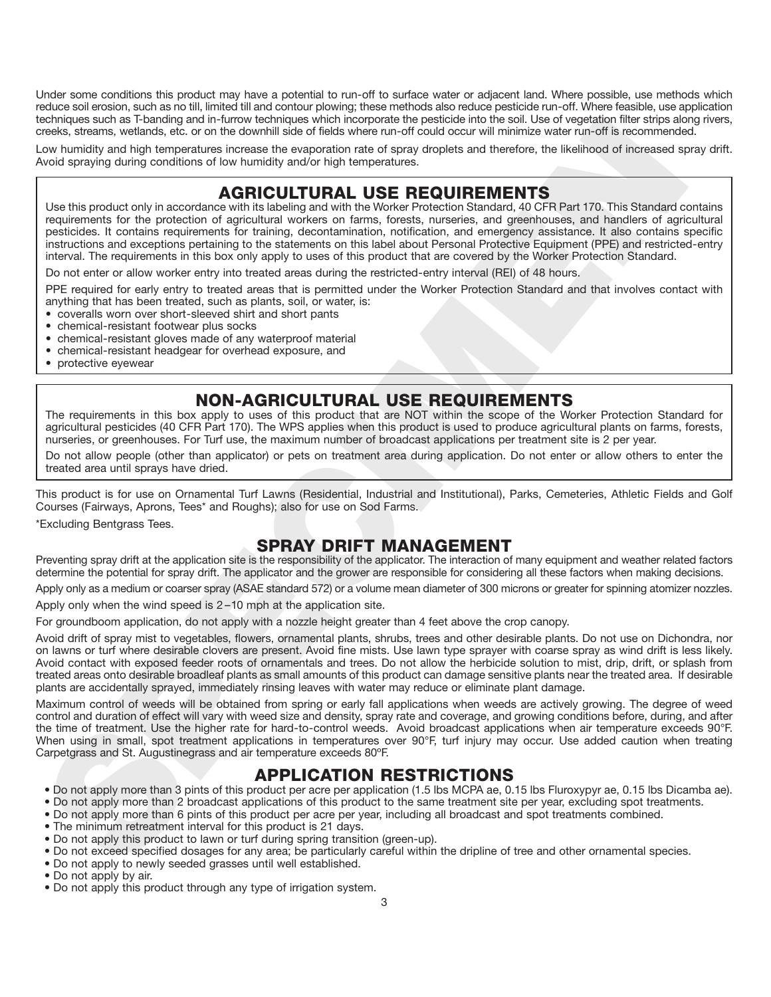Under some conditions this product may have a potential to run-off to surface water or adjacent land. Where possible, use methods which reduce soil erosion, such as no till, limited till and contour plowing; these methods also reduce pesticide run-off. Where feasible, use application techniques such as T-banding and in-furrow techniques which incorporate the pesticide into the soil. Use of vegetation filter strips along rivers, creeks, streams, wetlands, etc. or on the downhill side of fields where run-off could occur will minimize water run-off is recommended.

Low humidity and high temperatures increase the evaporation rate of spray droplets and therefore, the likelihood of increased spray drift. Avoid spraying during conditions of low humidity and/or high temperatures.

### **AGRICULTURAL USE REQUIREMENTS**

extringeneutrine Technology and the broade single with incorporate to persiste in the two specifics in the three single persistes and the single single single single single single single single single single single single Use this product only in accordance with its labeling and with the Worker Protection Standard, 40 CFR Part 170. This Standard contains requirements for the protection of agricultural workers on farms, forests, nurseries, and greenhouses, and handlers of agricultural pesticides. It contains requirements for training, decontamination, notification, and emergency assistance. It also contains specific instructions and exceptions pertaining to the statements on this label about Personal Protective Equipment (PPE) and restricted-entry interval. The requirements in this box only apply to uses of this product that are covered by the Worker Protection Standard.

Do not enter or allow worker entry into treated areas during the restricted-entry interval (REI) of 48 hours.

PPE required for early entry to treated areas that is permitted under the Worker Protection Standard and that involves contact with anything that has been treated, such as plants, soil, or water, is:

- coveralls worn over short-sleeved shirt and short pants
- chemical-resistant footwear plus socks
- chemical-resistant gloves made of any waterproof material
- chemical-resistant headgear for overhead exposure, and
- protective eyewear

### **NON-AGRICULTURAL USE REQUIREMENTS**

The requirements in this box apply to uses of this product that are NOT within the scope of the Worker Protection Standard for agricultural pesticides (40 CFR Part 170). The WPS applies when this product is used to produce agricultural plants on farms, forests, nurseries, or greenhouses. For Turf use, the maximum number of broadcast applications per treatment site is 2 per year.

Do not allow people (other than applicator) or pets on treatment area during application. Do not enter or allow others to enter the treated area until sprays have dried.

This product is for use on Ornamental Turf Lawns (Residential, Industrial and Institutional), Parks, Cemeteries, Athletic Fields and Golf Courses (Fairways, Aprons, Tees\* and Roughs); also for use on Sod Farms.

\*Excluding Bentgrass Tees.

### **SPRAY DRIFT MANAGEMENT**

Preventing spray drift at the application site is the responsibility of the applicator. The interaction of many equipment and weather related factors determine the potential for spray drift. The applicator and the grower are responsible for considering all these factors when making decisions.

Apply only as a medium or coarser spray (ASAE standard 572) or a volume mean diameter of 300 microns or greater for spinning atomizer nozzles.

Apply only when the wind speed is 2 –10 mph at the application site.

For groundboom application, do not apply with a nozzle height greater than 4 feet above the crop canopy.

Avoid drift of spray mist to vegetables, flowers, ornamental plants, shrubs, trees and other desirable plants. Do not use on Dichondra, nor on lawns or turf where desirable clovers are present. Avoid fine mists. Use lawn type sprayer with coarse spray as wind drift is less likely. Avoid contact with exposed feeder roots of ornamentals and trees. Do not allow the herbicide solution to mist, drip, drift, or splash from treated areas onto desirable broadleaf plants as small amounts of this product can damage sensitive plants near the treated area. If desirable plants are accidentally sprayed, immediately rinsing leaves with water may reduce or eliminate plant damage.

Maximum control of weeds will be obtained from spring or early fall applications when weeds are actively growing. The degree of weed control and duration of effect will vary with weed size and density, spray rate and coverage, and growing conditions before, during, and after the time of treatment. Use the higher rate for hard-to-control weeds. Avoid broadcast applications when air temperature exceeds 90°F. When using in small, spot treatment applications in temperatures over 90°F, turf injury may occur. Use added caution when treating Carpetgrass and St. Augustinegrass and air temperature exceeds 80ºF.

### **APPLICATION RESTRICTIONS**

- Do not apply more than 3 pints of this product per acre per application (1.5 lbs MCPA ae, 0.15 lbs Fluroxypyr ae, 0.15 lbs Dicamba ae).
- Do not apply more than 2 broadcast applications of this product to the same treatment site per year, excluding spot treatments.
- Do not apply more than 6 pints of this product per acre per year, including all broadcast and spot treatments combined.
- The minimum retreatment interval for this product is 21 days.
- Do not apply this product to lawn or turf during spring transition (green-up).
- Do not exceed specified dosages for any area; be particularly careful within the dripline of tree and other ornamental species.
- Do not apply to newly seeded grasses until well established.
- Do not apply by air.
- Do not apply this product through any type of irrigation system.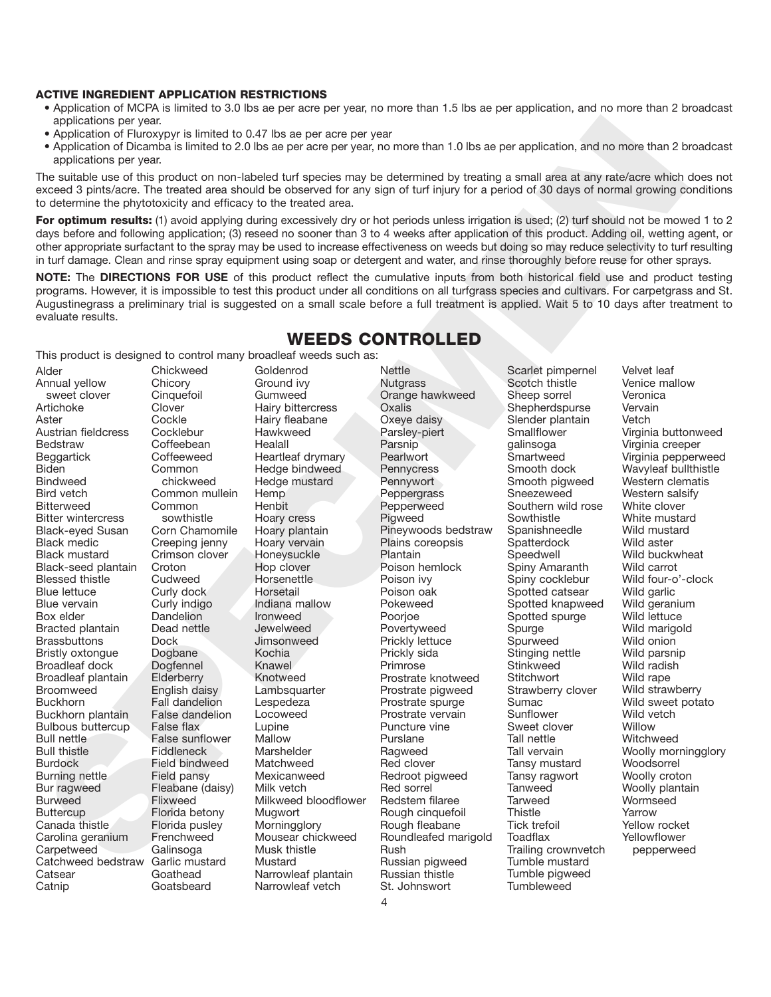#### **ACTIVE INGREDIENT APPLICATION RESTRICTIONS**

- Application of MCPA is limited to 3.0 lbs ae per acre per year, no more than 1.5 lbs ae per application, and no more than 2 broadcast applications per year.
- Application of Fluroxypyr is limited to 0.47 lbs ae per acre per year
- Application of Dicamba is limited to 2.0 lbs ae per acre per year, no more than 1.0 lbs ae per application, and no more than 2 broadcast applications per year.

The suitable use of this product on non-labeled turf species may be determined by treating a small area at any rate/acre which does not exceed 3 pints/acre. The treated area should be observed for any sign of turf injury for a period of 30 days of normal growing conditions to determine the phytotoxicity and efficacy to the treated area.

For optimum results: (1) avoid applying during excessively dry or hot periods unless irrigation is used; (2) turf should not be mowed 1 to 2 days before and following application; (3) reseed no sooner than 3 to 4 weeks after application of this product. Adding oil, wetting agent, or other appropriate surfactant to the spray may be used to increase effectiveness on weeds but doing so may reduce selectivity to turf resulting in turf damage. Clean and rinse spray equipment using soap or detergent and water, and rinse thoroughly before reuse for other sprays.

**NOTE:** The **DIRECTIONS FOR USE** of this product reflect the cumulative inputs from both historical field use and product testing programs. However, it is impossible to test this product under all conditions on all turfgrass species and cultivars. For carpetgrass and St. Augustinegrass a preliminary trial is suggested on a small scale before a full treatment is applied. Wait 5 to 10 days after treatment to evaluate results.

**WEEDS CONTROLLED**

### Excellent the process of the the state of the state of the state in the state of the state of the state of the state of the state of the state of the state of the state of the state of the state of the state of the state o Alder Annual yellow sweet clover Artichoke Aster Austrian fieldcress Bedstraw Beggartick **Biden** Bindweed Bird vetch **Bitterweed** Bitter wintercress Black-eyed Susan Black medic Black mustard Black-seed plantain Blessed thistle Blue lettuce Blue vervain Box elder Bracted plantain **Brassbuttons** Bristly oxtongue Broadleaf dock Broadleaf plantain Broomweed **Buckhorn** Buckhorn plantain Bulbous buttercup Bull nettle Bull thistle Burdock Burning nettle Bur ragweed Burweed **Buttercup** Canada thistle Carolina geranium **Carpetweed** Catchweed bedstraw **Catsear** Catnip

**Chickweed Chicory Cinquefoil Clover Cockle Cocklebur Coffeebean Coffeeweed** Common chickweed Common mullein Common sowthistle Corn Chamomile Creeping jenny Crimson clover **Croton Cudweed** Curly dock Curly indigo Dandelion Dead nettle Dock Dogbane Dogfennel **Elderberry** English daisy Fall dandelion False dandelion False flax False sunflower **Fiddleneck** Field bindweed Field pansy Fleabane (daisy) Flixweed Florida betony Florida pusley Frenchweed Galinsoga Garlic mustard Goathead **Goatsbeard** 

Goldenrod Ground ivy Gumweed Hairy bittercress Hairy fleabane Hawkweed **Healall** Heartleaf drymary Hedge bindweed Hedge mustard Hemp **Henbit** Hoary cress Hoary plantain Hoary vervain Honeysuckle Hop clover **Horsenettle** Horsetail Indiana mallow Ironweed Jewelweed **Jimsonweed** Kochia Knawel Knotweed Lambsquarter Lespedeza Locoweed Lupine Mallow Marshelder **Matchweed** Mexicanweed Milk vetch Milkweed bloodflower **Mugwort Morningglory** Mousear chickweed Musk thistle Mustard Narrowleaf plantain Narrowleaf vetch

#### This product is designed to control many broadleaf weeds such as: **Nettle Nutgrass** Orange hawkweed **Oxalis** Oxeye daisy Parsley-piert Parsnip **Pearlwort Pennycress Pennywort** Peppergrass Pepperweed Pigweed Pineywoods bedstraw Plains coreopsis Plantain Poison hemlock Poison ivy Poison oak Pokeweed Poorioe **Povertyweed**

Prickly lettuce Prickly sida **Primrose** 

Prostrate knotweed Prostrate pigweed Prostrate spurge Prostrate vervain Puncture vine Purslane Ragweed Red clover Redroot pigweed Red sorrel Redstem filaree Rough cinquefoil Rough fleabane Roundleafed marigold

Scotch thistle Sheep sorrel **Shepherdspurse** Slender plantain **Smallflower** galinsoga **Smartweed** Smooth dock Smooth pigweed Sneezeweed Southern wild rose **Sowthistle** Spanishneedle **Spatterdock Speedwell** Spiny Amaranth Spiny cocklebur Spotted catsear Spotted knapweed Spotted spurge **Spurge** Spurweed Stinging nettle **Stinkweed Stitchwort** Strawberry clover Sumac Sunflower Sweet clover Tall nettle Tall vervain Tansy mustard Tansy ragwort **Tanweed Tarweed Thistle** Tick trefoil **Toadflax** Trailing crownvetch Tumble mustard Tumble pigweed **Tumbleweed** 

Scarlet pimpernel

Velvet leaf Venice mallow Veronica Vervain Vetch Virginia buttonweed Virginia creeper Virginia pepperweed Wavyleaf bullthistle Western clematis Western salsify White clover White mustard Wild mustard Wild aster Wild buckwheat Wild carrot Wild four-o'-clock Wild garlic Wild geranium Wild lettuce Wild marigold Wild onion Wild parsnip Wild radish Wild rape Wild strawberry Wild sweet potato Wild vetch **Willow Witchweed** Woolly morningglory Woodsorrel Woolly croton Woolly plantain Wormseed Yarrow Yellow rocket Yellowflower pepperweed

Rush

Russian pigweed Russian thistle St. Johnswort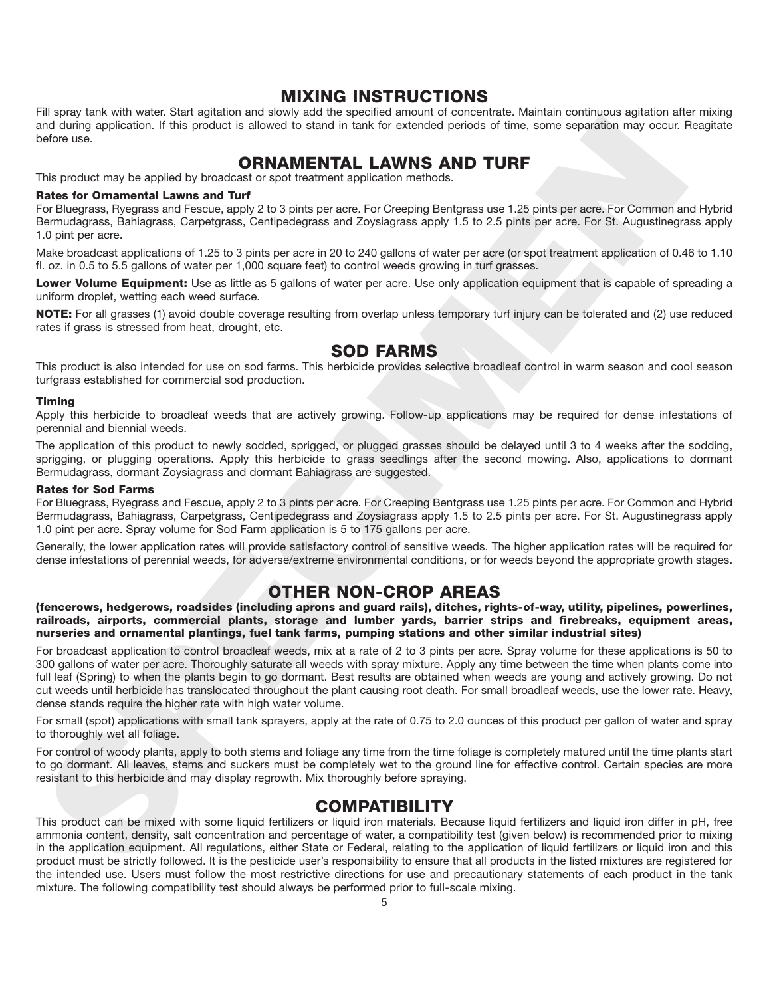#### **MIXING INSTRUCTIONS**

Fill spray tank with water. Start agitation and slowly add the specified amount of concentrate. Maintain continuous agitation after mixing and during application. If this product is allowed to stand in tank for extended periods of time, some separation may occur. Reagitate before use.

### **ORNAMENTAL LAWNS AND TURF**

This product may be applied by broadcast or spot treatment application methods.

#### **Rates for Ornamental Lawns and Turf**

For Bluegrass, Ryegrass and Fescue, apply 2 to 3 pints per acre. For Creeping Bentgrass use 1.25 pints per acre. For Common and Hybrid Bermudagrass, Bahiagrass, Carpetgrass, Centipedegrass and Zoysiagrass apply 1.5 to 2.5 pints per acre. For St. Augustinegrass apply 1.0 pint per acre.

Make broadcast applications of 1.25 to 3 pints per acre in 20 to 240 gallons of water per acre (or spot treatment application of 0.46 to 1.10 fl. oz. in 0.5 to 5.5 gallons of water per 1,000 square feet) to control weeds growing in turf grasses.

**Lower Volume Equipment:** Use as little as 5 gallons of water per acre. Use only application equipment that is capable of spreading a uniform droplet, wetting each weed surface.

**NOTE:** For all grasses (1) avoid double coverage resulting from overlap unless temporary turf injury can be tolerated and (2) use reduced rates if grass is stressed from heat, drought, etc.

#### **SOD FARMS**

This product is also intended for use on sod farms. This herbicide provides selective broadleaf control in warm season and cool season turfgrass established for commercial sod production.

#### **Timing**

Apply this herbicide to broadleaf weeds that are actively growing. Follow-up applications may be required for dense infestations of perennial and biennial weeds.

The application of this product to newly sodded, sprigged, or plugged grasses should be delayed until 3 to 4 weeks after the sodding, sprigging, or plugging operations. Apply this herbicide to grass seedlings after the second mowing. Also, applications to dormant Bermudagrass, dormant Zoysiagrass and dormant Bahiagrass are suggested.

#### **Rates for Sod Farms**

For Bluegrass, Ryegrass and Fescue, apply 2 to 3 pints per acre. For Creeping Bentgrass use 1.25 pints per acre. For Common and Hybrid Bermudagrass, Bahiagrass, Carpetgrass, Centipedegrass and Zoysiagrass apply 1.5 to 2.5 pints per acre. For St. Augustinegrass apply 1.0 pint per acre. Spray volume for Sod Farm application is 5 to 175 gallons per acre.

Generally, the lower application rates will provide satisfactory control of sensitive weeds. The higher application rates will be required for dense infestations of perennial weeds, for adverse/extreme environmental conditions, or for weeds beyond the appropriate growth stages.

### **OTHER NON-CROP AREAS**

**(fencerows, hedgerows, roadsides (including aprons and guard rails), ditches, rights-of-way, utility, pipelines, powerlines, railroads, airports, commercial plants, storage and lumber yards, barrier strips and firebreaks, equipment areas, nurseries and ornamental plantings, fuel tank farms, pumping stations and other similar industrial sites)**

not any operators. If the product is enough to sense for product a specific and the sense of the product may be apply to the content of the product may be apply to the content of the product may be apply to the content of For broadcast application to control broadleaf weeds, mix at a rate of 2 to 3 pints per acre. Spray volume for these applications is 50 to 300 gallons of water per acre. Thoroughly saturate all weeds with spray mixture. Apply any time between the time when plants come into full leaf (Spring) to when the plants begin to go dormant. Best results are obtained when weeds are young and actively growing. Do not cut weeds until herbicide has translocated throughout the plant causing root death. For small broadleaf weeds, use the lower rate. Heavy, dense stands require the higher rate with high water volume.

For small (spot) applications with small tank sprayers, apply at the rate of 0.75 to 2.0 ounces of this product per gallon of water and spray to thoroughly wet all foliage.

For control of woody plants, apply to both stems and foliage any time from the time foliage is completely matured until the time plants start to go dormant. All leaves, stems and suckers must be completely wet to the ground line for effective control. Certain species are more resistant to this herbicide and may display regrowth. Mix thoroughly before spraying.

### **COMPATIBILITY**

This product can be mixed with some liquid fertilizers or liquid iron materials. Because liquid fertilizers and liquid iron differ in pH, free ammonia content, density, salt concentration and percentage of water, a compatibility test (given below) is recommended prior to mixing in the application equipment. All regulations, either State or Federal, relating to the application of liquid fertilizers or liquid iron and this product must be strictly followed. It is the pesticide user's responsibility to ensure that all products in the listed mixtures are registered for the intended use. Users must follow the most restrictive directions for use and precautionary statements of each product in the tank mixture. The following compatibility test should always be performed prior to full-scale mixing.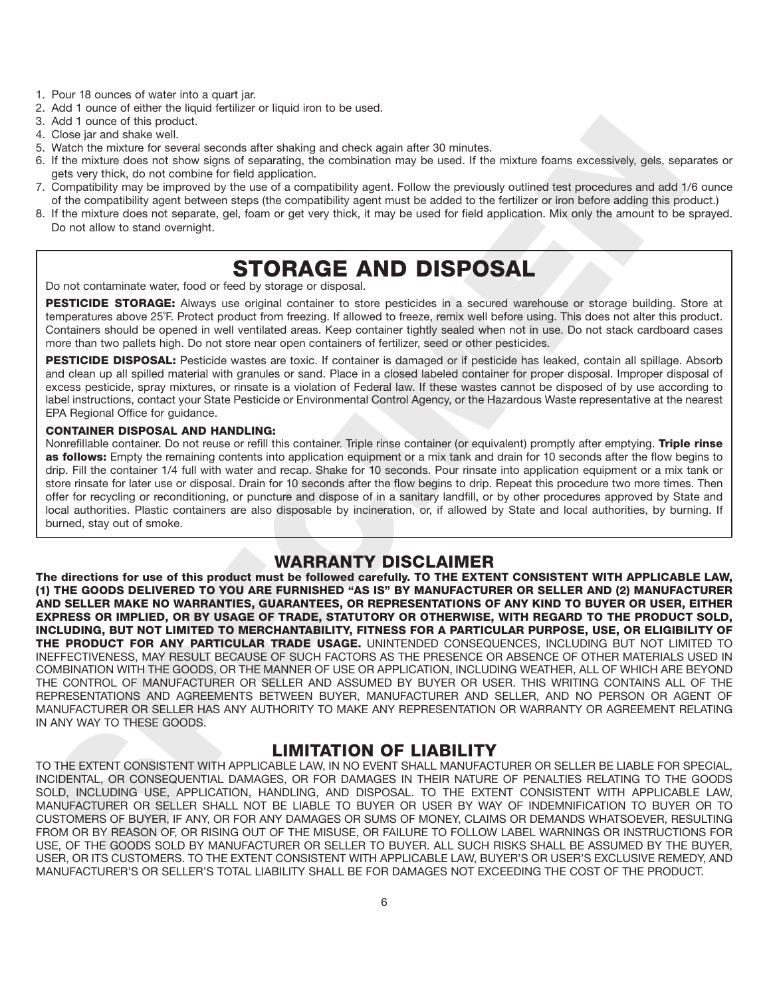- 1. Pour 18 ounces of water into a quart jar.
- 2. Add 1 ounce of either the liquid fertilizer or liquid iron to be used.
- 3. Add 1 ounce of this product.
- 4. Close jar and shake well.
- 5. Watch the mixture for several seconds after shaking and check again after 30 minutes.
- 6. If the mixture does not show signs of separating, the combination may be used. If the mixture foams excessively, gels, separates or gets very thick, do not combine for field application.
- 7. Compatibility may be improved by the use of a compatibility agent. Follow the previously outlined test procedures and add 1/6 ounce of the compatibility agent between steps (the compatibility agent must be added to the fertilizer or iron before adding this product.)
- 8. If the mixture does not separate, gel, foam or get very thick, it may be used for field application. Mix only the amount to be sprayed. Do not allow to stand overnight.

## **STORAGE AND DISPOSAL**

Do not contaminate water, food or feed by storage or disposal.

**PESTICIDE STORAGE:** Always use original container to store pesticides in a secured warehouse or storage building. Store at temperatures above 25˚F. Protect product from freezing. If allowed to freeze, remix well before using. This does not alter this product. Containers should be opened in well ventilated areas. Keep container tightly sealed when not in use. Do not stack cardboard cases more than two pallets high. Do not store near open containers of fertilizer, seed or other pesticides.

**PESTICIDE DISPOSAL:** Pesticide wastes are toxic. If container is damaged or if pesticide has leaked, contain all spillage. Absorb and clean up all spilled material with granules or sand. Place in a closed labeled container for proper disposal. Improper disposal of excess pesticide, spray mixtures, or rinsate is a violation of Federal law. If these wastes cannot be disposed of by use according to label instructions, contact your State Pesticide or Environmental Control Agency, or the Hazardous Waste representative at the nearest EPA Regional Office for guidance.

#### **CONTAINER DISPOSAL AND HANDLING:**

Nonrefillable container. Do not reuse or refill this container. Triple rinse container (or equivalent) promptly after emptying. **Triple rinse as follows:** Empty the remaining contents into application equipment or a mix tank and drain for 10 seconds after the flow begins to drip. Fill the container 1/4 full with water and recap. Shake for 10 seconds. Pour rinsate into application equipment or a mix tank or store rinsate for later use or disposal. Drain for 10 seconds after the flow begins to drip. Repeat this procedure two more times. Then offer for recycling or reconditioning, or puncture and dispose of in a sanitary landfill, or by other procedures approved by State and local authorities. Plastic containers are also disposable by incineration, or, if allowed by State and local authorities, by burning. If burned, stay out of smoke.

### **WARRANTY DISCLAIMER**

And I are not the procedure of the the control interaction of the state in the molecule and the state of the molecule and the state of the molecule and the state of the molecule and the molecule and the molecule and the mo **The directions for use of this product must be followed carefully. TO THE EXTENT CONSISTENT WITH APPLICABLE LAW, (1) THE GOODS DELIVERED TO YOU ARE FURNISHED "AS IS" BY MANUFACTURER OR SELLER AND (2) MANUFACTURER AND SELLER MAKE NO WARRANTIES, GUARANTEES, OR REPRESENTATIONS OF ANY KIND TO BUYER OR USER, EITHER EXPRESS OR IMPLIED, OR BY USAGE OF TRADE, STATUTORY OR OTHERWISE, WITH REGARD TO THE PRODUCT SOLD, INCLUDING, BUT NOT LIMITED TO MERCHANTABILITY, FITNESS FOR A PARTICULAR PURPOSE, USE, OR ELIGIBILITY OF THE PRODUCT FOR ANY PARTICULAR TRADE USAGE.** UNINTENDED CONSEQUENCES, INCLUDING BUT NOT LIMITED TO INEFFECTIVENESS, MAY RESULT BECAUSE OF SUCH FACTORS AS THE PRESENCE OR ABSENCE OF OTHER MATERIALS USED IN COMBINATION WITH THE GOODS, OR THE MANNER OF USE OR APPLICATION, INCLUDING WEATHER, ALL OF WHICH ARE BEYOND THE CONTROL OF MANUFACTURER OR SELLER AND ASSUMED BY BUYER OR USER. THIS WRITING CONTAINS ALL OF THE REPRESENTATIONS AND AGREEMENTS BETWEEN BUYER, MANUFACTURER AND SELLER, AND NO PERSON OR AGENT OF MANUFACTURER OR SELLER HAS ANY AUTHORITY TO MAKE ANY REPRESENTATION OR WARRANTY OR AGREEMENT RELATING IN ANY WAY TO THESE GOODS.

### **LIMITATION OF LIABILITY**

TO THE EXTENT CONSISTENT WITH APPLICABLE LAW, IN NO EVENT SHALL MANUFACTURER OR SELLER BE LIABLE FOR SPECIAL, INCIDENTAL, OR CONSEQUENTIAL DAMAGES, OR FOR DAMAGES IN THEIR NATURE OF PENALTIES RELATING TO THE GOODS SOLD, INCLUDING USE, APPLICATION, HANDLING, AND DISPOSAL. TO THE EXTENT CONSISTENT WITH APPLICABLE LAW, MANUFACTURER OR SELLER SHALL NOT BE LIABLE TO BUYER OR USER BY WAY OF INDEMNIFICATION TO BUYER OR TO CUSTOMERS OF BUYER, IF ANY, OR FOR ANY DAMAGES OR SUMS OF MONEY, CLAIMS OR DEMANDS WHATSOEVER, RESULTING FROM OR BY REASON OF, OR RISING OUT OF THE MISUSE, OR FAILURE TO FOLLOW LABEL WARNINGS OR INSTRUCTIONS FOR USE, OF THE GOODS SOLD BY MANUFACTURER OR SELLER TO BUYER. ALL SUCH RISKS SHALL BE ASSUMED BY THE BUYER, USER, OR ITS CUSTOMERS. TO THE EXTENT CONSISTENT WITH APPLICABLE LAW, BUYER'S OR USER'S EXCLUSIVE REMEDY, AND MANUFACTURER'S OR SELLER'S TOTAL LIABILITY SHALL BE FOR DAMAGES NOT EXCEEDING THE COST OF THE PRODUCT.